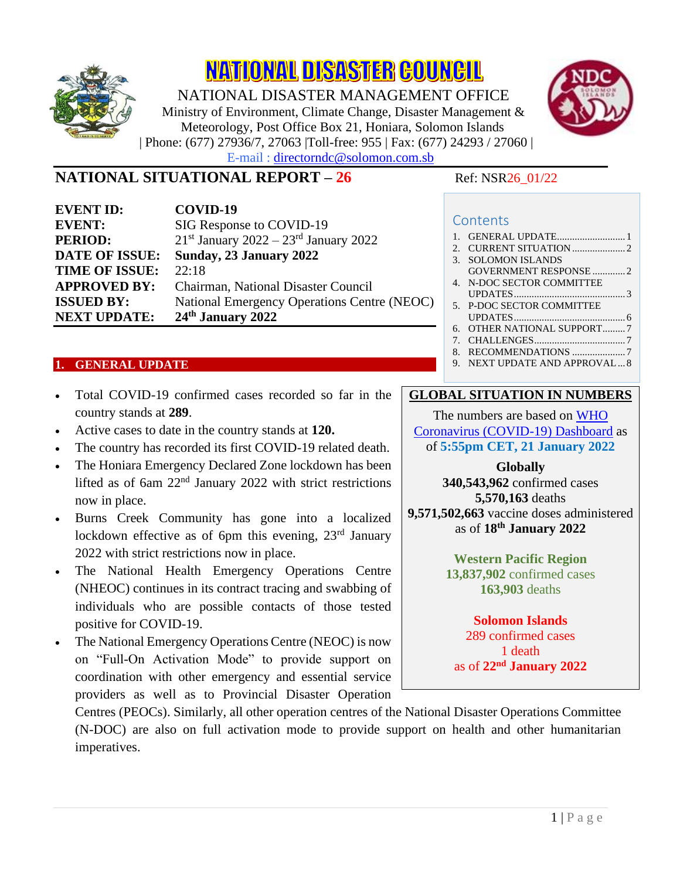

**NATIONAL DISASTER COUNCIL** 

NATIONAL DISASTER MANAGEMENT OFFICE Ministry of Environment, Climate Change, Disaster Management & Meteorology, Post Office Box 21, Honiara, Solomon Islands | Phone: (677) 27936/7, 27063 |Toll-free: 955 | Fax: (677) 24293 / 27060 | E-mail : directorndc@solomon.com.sb



# **NATIONAL SITUATIONAL REPORT – 26** Ref: NSR26 01/22

**Contents** 

| <b>EVENT ID:</b>      | COVID-19                                    |
|-----------------------|---------------------------------------------|
| <b>EVENT:</b>         | SIG Response to COVID-19                    |
| <b>PERIOD:</b>        | $21st$ January 2022 – $23rd$ January 2022   |
| <b>DATE OF ISSUE:</b> | Sunday, 23 January 2022                     |
| <b>TIME OF ISSUE:</b> | 22:18                                       |
| <b>APPROVED BY:</b>   | Chairman, National Disaster Council         |
| <b>ISSUED BY:</b>     | National Emergency Operations Centre (NEOC) |
| <b>NEXT UPDATE:</b>   | 24th January 2022                           |
|                       |                                             |

#### <span id="page-0-0"></span>**1. GENERAL UPDATE**

- Total COVID-19 confirmed cases recorded so far in the country stands at **289**.
- Active cases to date in the country stands at **120.**
- The country has recorded its first COVID-19 related death.
- The Honiara Emergency Declared Zone lockdown has been lifted as of 6am 22nd January 2022 with strict restrictions now in place.
- Burns Creek Community has gone into a localized lockdown effective as of 6pm this evening,  $23<sup>rd</sup>$  January 2022 with strict restrictions now in place.
- The National Health Emergency Operations Centre (NHEOC) continues in its contract tracing and swabbing of individuals who are possible contacts of those tested positive for COVID-19.
- The National Emergency Operations Centre (NEOC) is now on "Full-On Activation Mode" to provide support on coordination with other emergency and essential service providers as well as to Provincial Disaster Operation

| 3. SOLOMON ISLANDS         |  |
|----------------------------|--|
| GOVERNMENT RESPONSE 2      |  |
| 4. N-DOC SECTOR COMMITTEE  |  |
|                            |  |
| 5. P-DOC SECTOR COMMITTEE  |  |
|                            |  |
| 6. OTHER NATIONAL SUPPORT7 |  |
|                            |  |
| 8. RECOMMENDATIONS 7       |  |
|                            |  |

## 9. [NEXT UPDATE AND APPROVAL...8](#page-7-0)

## **GLOBAL SITUATION IN NUMBERS**

The numbers are based on [WHO](https://covid19.who.int/)  [Coronavirus \(COVID-19\) Dashboard](https://covid19.who.int/) as of **5:55pm CET, 21 January 2022**

**Globally 340,543,962** confirmed cases **5,570,163** deaths **9,571,502,663** vaccine doses administered as of **18 th January 2022**

> **Western Pacific Region 13,837,902** confirmed cases **163,903** deaths

#### **Solomon Islands** 289 confirmed cases 1 death

as of **22 nd January 2022**

Centres (PEOCs). Similarly, all other operation centres of the National Disaster Operations Committee (N-DOC) are also on full activation mode to provide support on health and other humanitarian imperatives.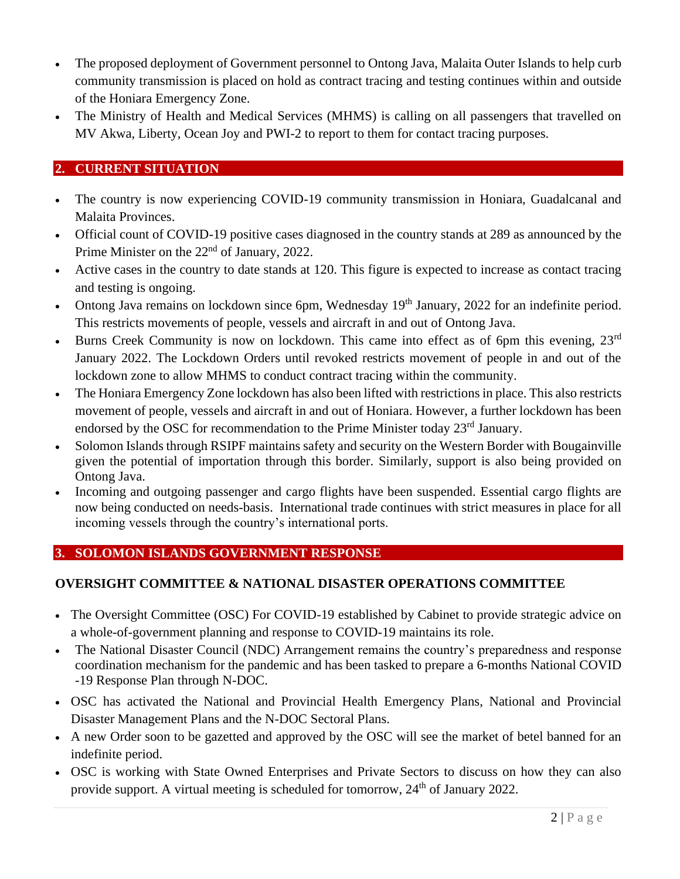- The proposed deployment of Government personnel to Ontong Java, Malaita Outer Islands to help curb community transmission is placed on hold as contract tracing and testing continues within and outside of the Honiara Emergency Zone.
- The Ministry of Health and Medical Services (MHMS) is calling on all passengers that travelled on MV Akwa, Liberty, Ocean Joy and PWI-2 to report to them for contact tracing purposes.

## <span id="page-1-0"></span>**2. CURRENT SITUATION**

- The country is now experiencing COVID-19 community transmission in Honiara, Guadalcanal and Malaita Provinces.
- Official count of COVID-19 positive cases diagnosed in the country stands at 289 as announced by the Prime Minister on the 22<sup>nd</sup> of January, 2022.
- Active cases in the country to date stands at 120. This figure is expected to increase as contact tracing and testing is ongoing.
- Ontong Java remains on lockdown since 6pm, Wednesday 19<sup>th</sup> January, 2022 for an indefinite period. This restricts movements of people, vessels and aircraft in and out of Ontong Java.
- Burns Creek Community is now on lockdown. This came into effect as of 6pm this evening, 23<sup>rd</sup> January 2022. The Lockdown Orders until revoked restricts movement of people in and out of the lockdown zone to allow MHMS to conduct contract tracing within the community.
- The Honiara Emergency Zone lockdown has also been lifted with restrictions in place. This also restricts movement of people, vessels and aircraft in and out of Honiara. However, a further lockdown has been endorsed by the OSC for recommendation to the Prime Minister today 23<sup>rd</sup> January.
- Solomon Islands through RSIPF maintains safety and security on the Western Border with Bougainville given the potential of importation through this border. Similarly, support is also being provided on Ontong Java.
- Incoming and outgoing passenger and cargo flights have been suspended. Essential cargo flights are now being conducted on needs-basis. International trade continues with strict measures in place for all incoming vessels through the country's international ports.

## <span id="page-1-1"></span>**3. SOLOMON ISLANDS GOVERNMENT RESPONSE**

### **OVERSIGHT COMMITTEE & NATIONAL DISASTER OPERATIONS COMMITTEE**

- The Oversight Committee (OSC) For COVID-19 established by Cabinet to provide strategic advice on a whole-of-government planning and response to COVID-19 maintains its role.
- The National Disaster Council (NDC) Arrangement remains the country's preparedness and response coordination mechanism for the pandemic and has been tasked to prepare a 6-months National COVID -19 Response Plan through N-DOC.
- OSC has activated the National and Provincial Health Emergency Plans, National and Provincial Disaster Management Plans and the N-DOC Sectoral Plans.
- A new Order soon to be gazetted and approved by the OSC will see the market of betel banned for an indefinite period.
- OSC is working with State Owned Enterprises and Private Sectors to discuss on how they can also provide support. A virtual meeting is scheduled for tomorrow, 24<sup>th</sup> of January 2022.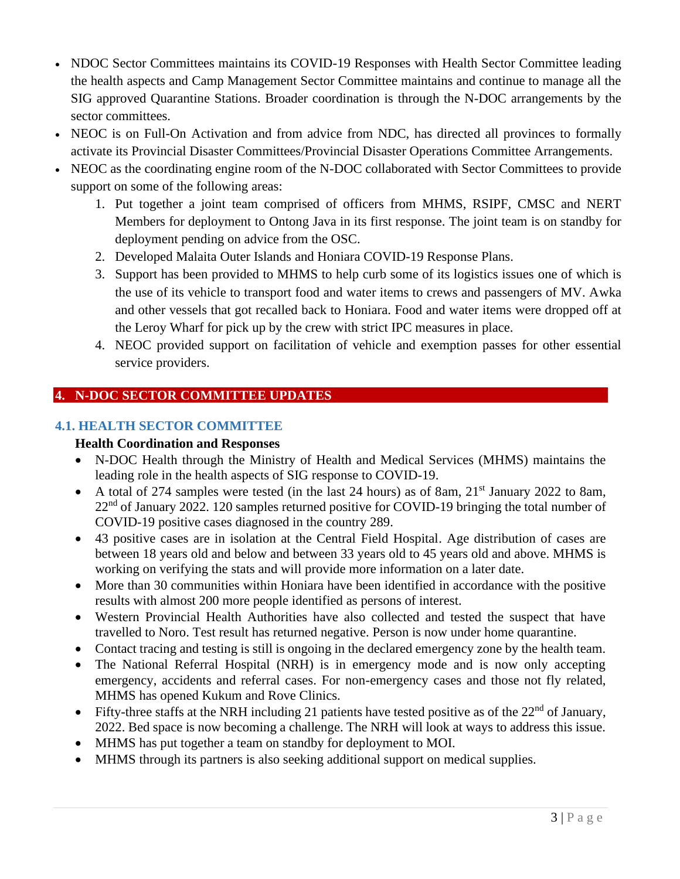- NDOC Sector Committees maintains its COVID-19 Responses with Health Sector Committee leading the health aspects and Camp Management Sector Committee maintains and continue to manage all the SIG approved Quarantine Stations. Broader coordination is through the N-DOC arrangements by the sector committees.
- NEOC is on Full-On Activation and from advice from NDC, has directed all provinces to formally activate its Provincial Disaster Committees/Provincial Disaster Operations Committee Arrangements.
- NEOC as the coordinating engine room of the N-DOC collaborated with Sector Committees to provide support on some of the following areas:
	- 1. Put together a joint team comprised of officers from MHMS, RSIPF, CMSC and NERT Members for deployment to Ontong Java in its first response. The joint team is on standby for deployment pending on advice from the OSC.
	- 2. Developed Malaita Outer Islands and Honiara COVID-19 Response Plans.
	- 3. Support has been provided to MHMS to help curb some of its logistics issues one of which is the use of its vehicle to transport food and water items to crews and passengers of MV. Awka and other vessels that got recalled back to Honiara. Food and water items were dropped off at the Leroy Wharf for pick up by the crew with strict IPC measures in place.
	- 4. NEOC provided support on facilitation of vehicle and exemption passes for other essential service providers.

## <span id="page-2-0"></span>**4. N-DOC SECTOR COMMITTEE UPDATES**

## **4.1. HEALTH SECTOR COMMITTEE**

## **Health Coordination and Responses**

- N-DOC Health through the Ministry of Health and Medical Services (MHMS) maintains the leading role in the health aspects of SIG response to COVID-19.
- A total of 274 samples were tested (in the last 24 hours) as of 8am,  $21<sup>st</sup>$  January 2022 to 8am,  $22<sup>nd</sup>$  of January 2022. 120 samples returned positive for COVID-19 bringing the total number of COVID-19 positive cases diagnosed in the country 289.
- 43 positive cases are in isolation at the Central Field Hospital. Age distribution of cases are between 18 years old and below and between 33 years old to 45 years old and above. MHMS is working on verifying the stats and will provide more information on a later date.
- More than 30 communities within Honiara have been identified in accordance with the positive results with almost 200 more people identified as persons of interest.
- Western Provincial Health Authorities have also collected and tested the suspect that have travelled to Noro. Test result has returned negative. Person is now under home quarantine.
- Contact tracing and testing is still is ongoing in the declared emergency zone by the health team.
- The National Referral Hospital (NRH) is in emergency mode and is now only accepting emergency, accidents and referral cases. For non-emergency cases and those not fly related, MHMS has opened Kukum and Rove Clinics.
- Fifty-three staffs at the NRH including 21 patients have tested positive as of the  $22<sup>nd</sup>$  of January. 2022. Bed space is now becoming a challenge. The NRH will look at ways to address this issue.
- MHMS has put together a team on standby for deployment to MOI.
- MHMS through its partners is also seeking additional support on medical supplies.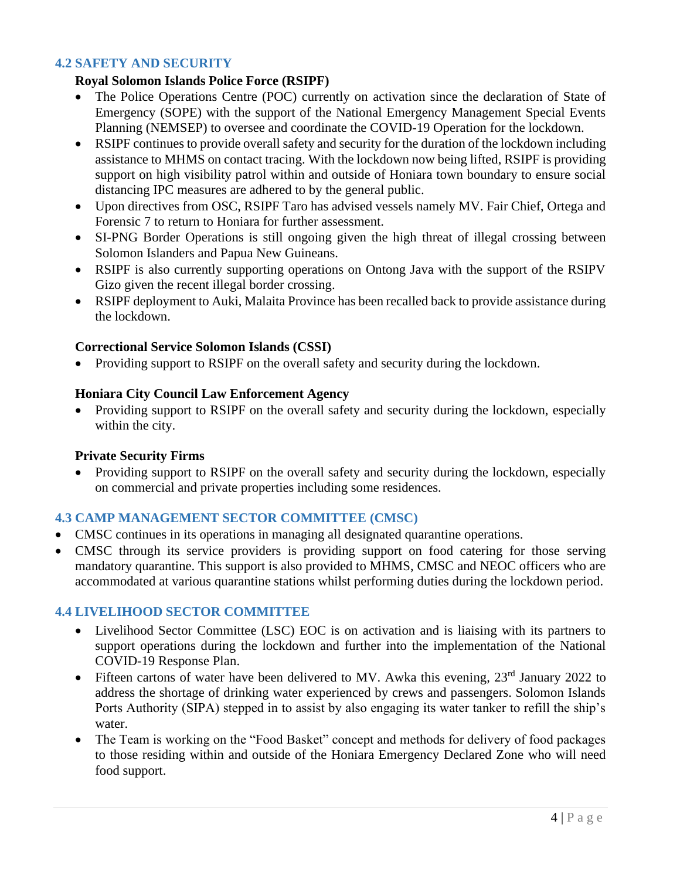#### **4.2 SAFETY AND SECURITY**

#### **Royal Solomon Islands Police Force (RSIPF)**

- The Police Operations Centre (POC) currently on activation since the declaration of State of Emergency (SOPE) with the support of the National Emergency Management Special Events Planning (NEMSEP) to oversee and coordinate the COVID-19 Operation for the lockdown.
- RSIPF continues to provide overall safety and security for the duration of the lockdown including assistance to MHMS on contact tracing. With the lockdown now being lifted, RSIPF is providing support on high visibility patrol within and outside of Honiara town boundary to ensure social distancing IPC measures are adhered to by the general public.
- Upon directives from OSC, RSIPF Taro has advised vessels namely MV. Fair Chief, Ortega and Forensic 7 to return to Honiara for further assessment.
- SI-PNG Border Operations is still ongoing given the high threat of illegal crossing between Solomon Islanders and Papua New Guineans.
- RSIPF is also currently supporting operations on Ontong Java with the support of the RSIPV Gizo given the recent illegal border crossing.
- RSIPF deployment to Auki, Malaita Province has been recalled back to provide assistance during the lockdown.

#### **Correctional Service Solomon Islands (CSSI)**

• Providing support to RSIPF on the overall safety and security during the lockdown.

#### **Honiara City Council Law Enforcement Agency**

• Providing support to RSIPF on the overall safety and security during the lockdown, especially within the city.

#### **Private Security Firms**

• Providing support to RSIPF on the overall safety and security during the lockdown, especially on commercial and private properties including some residences.

### **4.3 CAMP MANAGEMENT SECTOR COMMITTEE (CMSC)**

- CMSC continues in its operations in managing all designated quarantine operations.
- CMSC through its service providers is providing support on food catering for those serving mandatory quarantine. This support is also provided to MHMS, CMSC and NEOC officers who are accommodated at various quarantine stations whilst performing duties during the lockdown period.

### **4.4 LIVELIHOOD SECTOR COMMITTEE**

- Livelihood Sector Committee (LSC) EOC is on activation and is liaising with its partners to support operations during the lockdown and further into the implementation of the National COVID-19 Response Plan.
- Fifteen cartons of water have been delivered to MV. Awka this evening,  $23<sup>rd</sup>$  January 2022 to address the shortage of drinking water experienced by crews and passengers. Solomon Islands Ports Authority (SIPA) stepped in to assist by also engaging its water tanker to refill the ship's water.
- The Team is working on the "Food Basket" concept and methods for delivery of food packages to those residing within and outside of the Honiara Emergency Declared Zone who will need food support.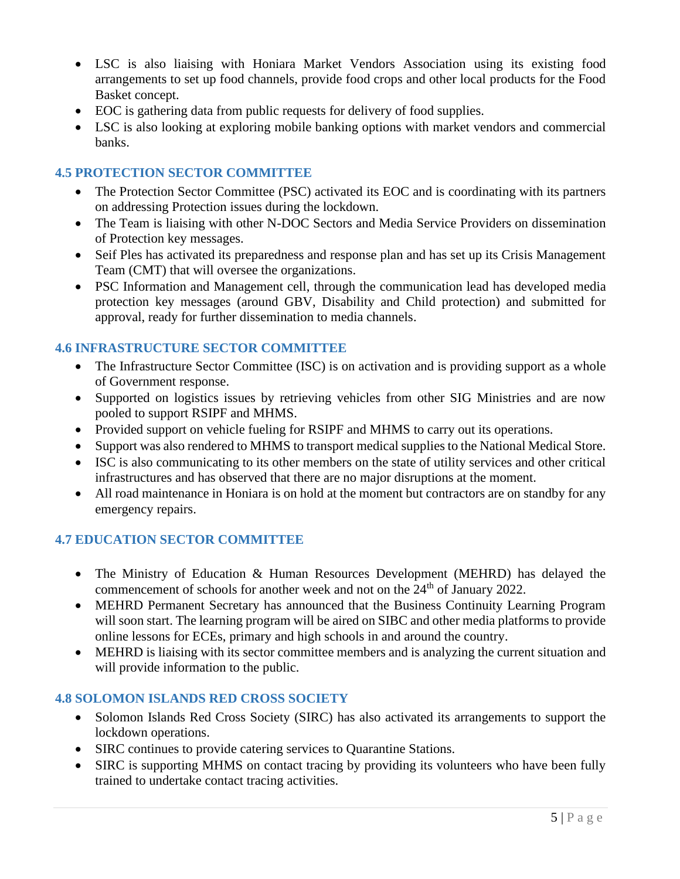- LSC is also liaising with Honiara Market Vendors Association using its existing food arrangements to set up food channels, provide food crops and other local products for the Food Basket concept.
- EOC is gathering data from public requests for delivery of food supplies.
- LSC is also looking at exploring mobile banking options with market vendors and commercial banks.

## **4.5 PROTECTION SECTOR COMMITTEE**

- The Protection Sector Committee (PSC) activated its EOC and is coordinating with its partners on addressing Protection issues during the lockdown.
- The Team is liaising with other N-DOC Sectors and Media Service Providers on dissemination of Protection key messages.
- Seif Ples has activated its preparedness and response plan and has set up its Crisis Management Team (CMT) that will oversee the organizations.
- PSC Information and Management cell, through the communication lead has developed media protection key messages (around GBV, Disability and Child protection) and submitted for approval, ready for further dissemination to media channels.

### **4.6 INFRASTRUCTURE SECTOR COMMITTEE**

- The Infrastructure Sector Committee (ISC) is on activation and is providing support as a whole of Government response.
- Supported on logistics issues by retrieving vehicles from other SIG Ministries and are now pooled to support RSIPF and MHMS.
- Provided support on vehicle fueling for RSIPF and MHMS to carry out its operations.
- Support was also rendered to MHMS to transport medical supplies to the National Medical Store.
- ISC is also communicating to its other members on the state of utility services and other critical infrastructures and has observed that there are no major disruptions at the moment.
- All road maintenance in Honiara is on hold at the moment but contractors are on standby for any emergency repairs.

### **4.7 EDUCATION SECTOR COMMITTEE**

- The Ministry of Education & Human Resources Development (MEHRD) has delayed the commencement of schools for another week and not on the  $24<sup>th</sup>$  of January 2022.
- MEHRD Permanent Secretary has announced that the Business Continuity Learning Program will soon start. The learning program will be aired on SIBC and other media platforms to provide online lessons for ECEs, primary and high schools in and around the country.
- MEHRD is liaising with its sector committee members and is analyzing the current situation and will provide information to the public.

### **4.8 SOLOMON ISLANDS RED CROSS SOCIETY**

- Solomon Islands Red Cross Society (SIRC) has also activated its arrangements to support the lockdown operations.
- SIRC continues to provide catering services to Quarantine Stations.
- SIRC is supporting MHMS on contact tracing by providing its volunteers who have been fully trained to undertake contact tracing activities.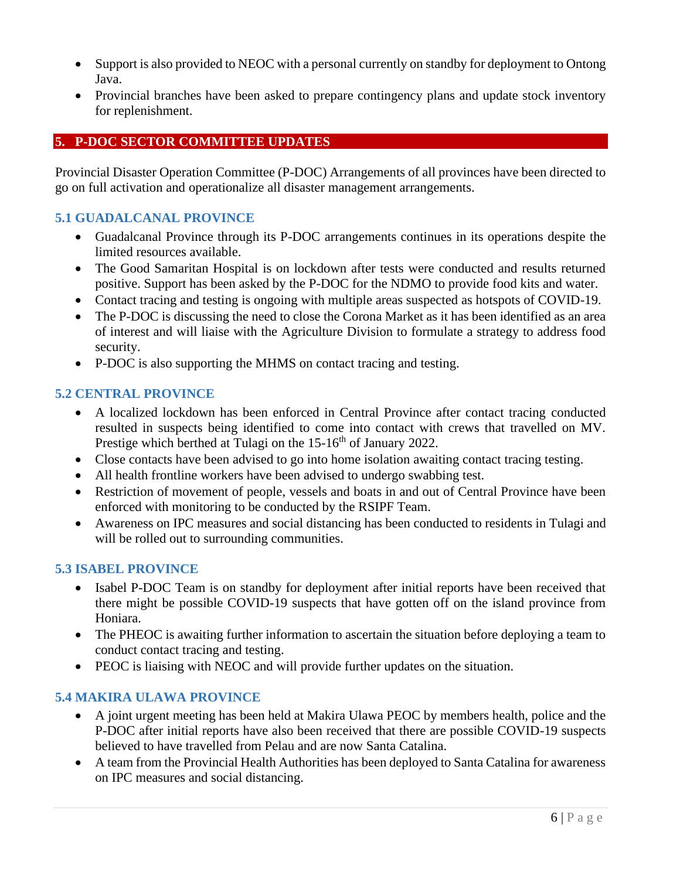- Support is also provided to NEOC with a personal currently on standby for deployment to Ontong Java.
- Provincial branches have been asked to prepare contingency plans and update stock inventory for replenishment.

## <span id="page-5-0"></span>**5. P-DOC SECTOR COMMITTEE UPDATES**

Provincial Disaster Operation Committee (P-DOC) Arrangements of all provinces have been directed to go on full activation and operationalize all disaster management arrangements.

## **5.1 GUADALCANAL PROVINCE**

- Guadalcanal Province through its P-DOC arrangements continues in its operations despite the limited resources available.
- The Good Samaritan Hospital is on lockdown after tests were conducted and results returned positive. Support has been asked by the P-DOC for the NDMO to provide food kits and water.
- Contact tracing and testing is ongoing with multiple areas suspected as hotspots of COVID-19.
- The P-DOC is discussing the need to close the Corona Market as it has been identified as an area of interest and will liaise with the Agriculture Division to formulate a strategy to address food security.
- P-DOC is also supporting the MHMS on contact tracing and testing.

### **5.2 CENTRAL PROVINCE**

- A localized lockdown has been enforced in Central Province after contact tracing conducted resulted in suspects being identified to come into contact with crews that travelled on MV. Prestige which berthed at Tulagi on the 15-16<sup>th</sup> of January 2022.
- Close contacts have been advised to go into home isolation awaiting contact tracing testing.
- All health frontline workers have been advised to undergo swabbing test.
- Restriction of movement of people, vessels and boats in and out of Central Province have been enforced with monitoring to be conducted by the RSIPF Team.
- Awareness on IPC measures and social distancing has been conducted to residents in Tulagi and will be rolled out to surrounding communities.

### **5.3 ISABEL PROVINCE**

- Isabel P-DOC Team is on standby for deployment after initial reports have been received that there might be possible COVID-19 suspects that have gotten off on the island province from Honiara.
- The PHEOC is awaiting further information to ascertain the situation before deploying a team to conduct contact tracing and testing.
- PEOC is liaising with NEOC and will provide further updates on the situation.

### **5.4 MAKIRA ULAWA PROVINCE**

- A joint urgent meeting has been held at Makira Ulawa PEOC by members health, police and the P-DOC after initial reports have also been received that there are possible COVID-19 suspects believed to have travelled from Pelau and are now Santa Catalina.
- A team from the Provincial Health Authorities has been deployed to Santa Catalina for awareness on IPC measures and social distancing.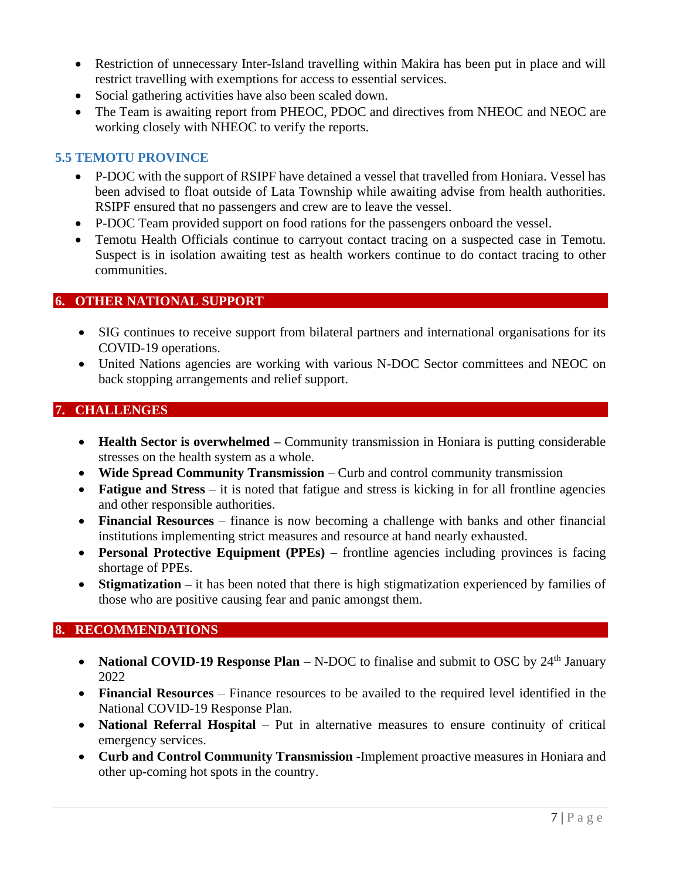- Restriction of unnecessary Inter-Island travelling within Makira has been put in place and will restrict travelling with exemptions for access to essential services.
- Social gathering activities have also been scaled down.
- The Team is awaiting report from PHEOC, PDOC and directives from NHEOC and NEOC are working closely with NHEOC to verify the reports.

## **5.5 TEMOTU PROVINCE**

- P-DOC with the support of RSIPF have detained a vessel that travelled from Honiara. Vessel has been advised to float outside of Lata Township while awaiting advise from health authorities. RSIPF ensured that no passengers and crew are to leave the vessel.
- P-DOC Team provided support on food rations for the passengers onboard the vessel.
- Temotu Health Officials continue to carryout contact tracing on a suspected case in Temotu. Suspect is in isolation awaiting test as health workers continue to do contact tracing to other communities.

## <span id="page-6-0"></span>**6. OTHER NATIONAL SUPPORT**

- SIG continues to receive support from bilateral partners and international organisations for its COVID-19 operations.
- United Nations agencies are working with various N-DOC Sector committees and NEOC on back stopping arrangements and relief support.

## <span id="page-6-1"></span>**7. CHALLENGES**

- **Health Sector is overwhelmed** Community transmission in Honiara is putting considerable stresses on the health system as a whole.
- **Wide Spread Community Transmission**  Curb and control community transmission
- **Fatigue and Stress** it is noted that fatigue and stress is kicking in for all frontline agencies and other responsible authorities.
- **Financial Resources** finance is now becoming a challenge with banks and other financial institutions implementing strict measures and resource at hand nearly exhausted.
- **Personal Protective Equipment (PPEs)** frontline agencies including provinces is facing shortage of PPEs.
- **Stigmatization** it has been noted that there is high stigmatization experienced by families of those who are positive causing fear and panic amongst them.

## <span id="page-6-2"></span>**8. RECOMMENDATIONS**

- **National COVID-19 Response Plan** N-DOC to finalise and submit to OSC by 24<sup>th</sup> January 2022
- **Financial Resources** Finance resources to be availed to the required level identified in the National COVID-19 Response Plan.
- **National Referral Hospital** Put in alternative measures to ensure continuity of critical emergency services.
- **Curb and Control Community Transmission** -Implement proactive measures in Honiara and other up-coming hot spots in the country.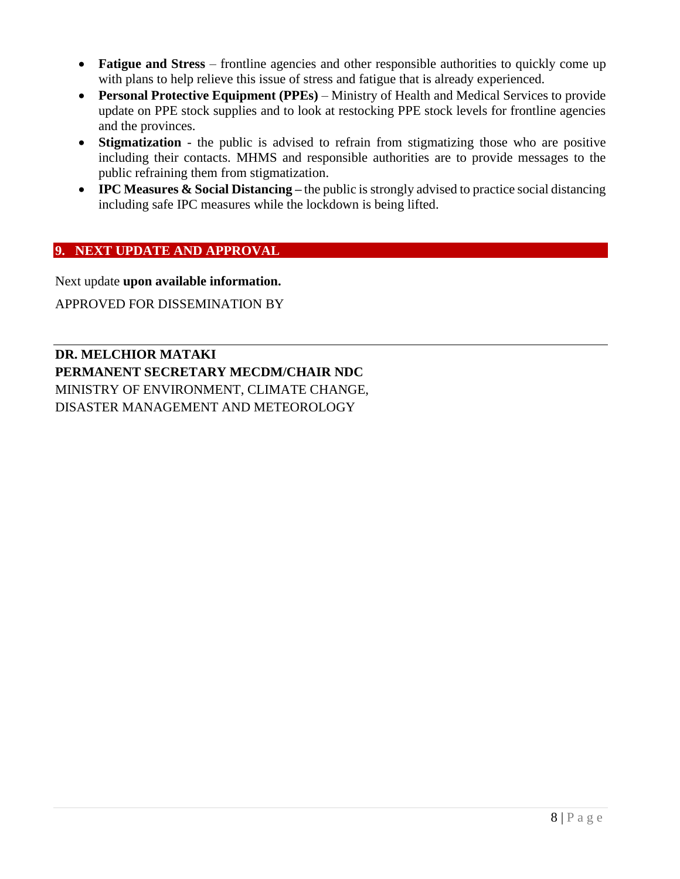- **Fatigue and Stress** frontline agencies and other responsible authorities to quickly come up with plans to help relieve this issue of stress and fatigue that is already experienced.
- **Personal Protective Equipment (PPEs)** Ministry of Health and Medical Services to provide update on PPE stock supplies and to look at restocking PPE stock levels for frontline agencies and the provinces.
- **Stigmatization** the public is advised to refrain from stigmatizing those who are positive including their contacts. MHMS and responsible authorities are to provide messages to the public refraining them from stigmatization.
- **IPC Measures & Social Distancing –** the public is strongly advised to practice social distancing including safe IPC measures while the lockdown is being lifted.

## <span id="page-7-0"></span>**9. NEXT UPDATE AND APPROVAL**

Next update **upon available information.**

APPROVED FOR DISSEMINATION BY

**DR. MELCHIOR MATAKI PERMANENT SECRETARY MECDM/CHAIR NDC** MINISTRY OF ENVIRONMENT, CLIMATE CHANGE, DISASTER MANAGEMENT AND METEOROLOGY